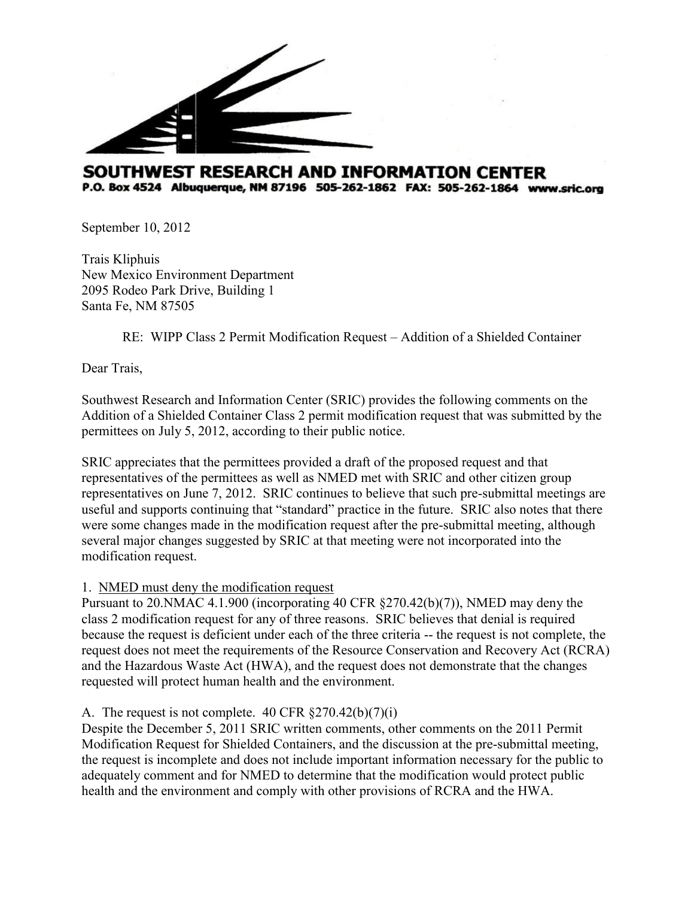

# SOUTHWEST RESEARCH AND INFORMATION CENTER P.O. Box 4524 Albuquerque, NM 87196 505-262-1862 FAX: 505-262-1864 www.sric.org

September 10, 2012

Trais Kliphuis New Mexico Environment Department 2095 Rodeo Park Drive, Building 1 Santa Fe, NM 87505

RE: WIPP Class 2 Permit Modification Request – Addition of a Shielded Container

Dear Trais,

Southwest Research and Information Center (SRIC) provides the following comments on the Addition of a Shielded Container Class 2 permit modification request that was submitted by the permittees on July 5, 2012, according to their public notice.

SRIC appreciates that the permittees provided a draft of the proposed request and that representatives of the permittees as well as NMED met with SRIC and other citizen group representatives on June 7, 2012. SRIC continues to believe that such pre-submittal meetings are useful and supports continuing that "standard" practice in the future. SRIC also notes that there were some changes made in the modification request after the pre-submittal meeting, although several major changes suggested by SRIC at that meeting were not incorporated into the modification request.

### 1. NMED must deny the modification request

Pursuant to 20.NMAC 4.1.900 (incorporating 40 CFR §270.42(b)(7)), NMED may deny the class 2 modification request for any of three reasons. SRIC believes that denial is required because the request is deficient under each of the three criteria -- the request is not complete, the request does not meet the requirements of the Resource Conservation and Recovery Act (RCRA) and the Hazardous Waste Act (HWA), and the request does not demonstrate that the changes requested will protect human health and the environment.

### A. The request is not complete. 40 CFR §270.42(b)(7)(i)

Despite the December 5, 2011 SRIC written comments, other comments on the 2011 Permit Modification Request for Shielded Containers, and the discussion at the pre-submittal meeting, the request is incomplete and does not include important information necessary for the public to adequately comment and for NMED to determine that the modification would protect public health and the environment and comply with other provisions of RCRA and the HWA.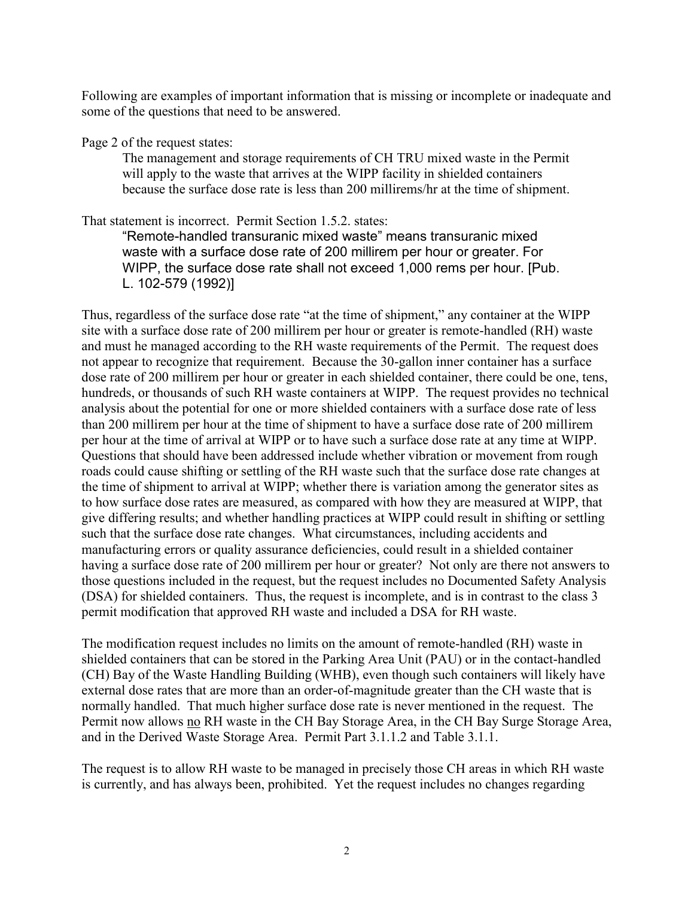Following are examples of important information that is missing or incomplete or inadequate and some of the questions that need to be answered.

Page 2 of the request states:

The management and storage requirements of CH TRU mixed waste in the Permit will apply to the waste that arrives at the WIPP facility in shielded containers because the surface dose rate is less than 200 millirems/hr at the time of shipment.

That statement is incorrect. Permit Section 1.5.2. states:

"Remote-handled transuranic mixed waste" means transuranic mixed waste with a surface dose rate of 200 millirem per hour or greater. For WIPP, the surface dose rate shall not exceed 1,000 rems per hour. [Pub. L. 102-579 (1992)]

Thus, regardless of the surface dose rate "at the time of shipment," any container at the WIPP site with a surface dose rate of 200 millirem per hour or greater is remote-handled (RH) waste and must he managed according to the RH waste requirements of the Permit. The request does not appear to recognize that requirement. Because the 30-gallon inner container has a surface dose rate of 200 millirem per hour or greater in each shielded container, there could be one, tens, hundreds, or thousands of such RH waste containers at WIPP. The request provides no technical analysis about the potential for one or more shielded containers with a surface dose rate of less than 200 millirem per hour at the time of shipment to have a surface dose rate of 200 millirem per hour at the time of arrival at WIPP or to have such a surface dose rate at any time at WIPP. Questions that should have been addressed include whether vibration or movement from rough roads could cause shifting or settling of the RH waste such that the surface dose rate changes at the time of shipment to arrival at WIPP; whether there is variation among the generator sites as to how surface dose rates are measured, as compared with how they are measured at WIPP, that give differing results; and whether handling practices at WIPP could result in shifting or settling such that the surface dose rate changes. What circumstances, including accidents and manufacturing errors or quality assurance deficiencies, could result in a shielded container having a surface dose rate of 200 millirem per hour or greater? Not only are there not answers to those questions included in the request, but the request includes no Documented Safety Analysis (DSA) for shielded containers. Thus, the request is incomplete, and is in contrast to the class 3 permit modification that approved RH waste and included a DSA for RH waste.

The modification request includes no limits on the amount of remote-handled (RH) waste in shielded containers that can be stored in the Parking Area Unit (PAU) or in the contact-handled (CH) Bay of the Waste Handling Building (WHB), even though such containers will likely have external dose rates that are more than an order-of-magnitude greater than the CH waste that is normally handled. That much higher surface dose rate is never mentioned in the request. The Permit now allows no RH waste in the CH Bay Storage Area, in the CH Bay Surge Storage Area, and in the Derived Waste Storage Area. Permit Part 3.1.1.2 and Table 3.1.1.

The request is to allow RH waste to be managed in precisely those CH areas in which RH waste is currently, and has always been, prohibited. Yet the request includes no changes regarding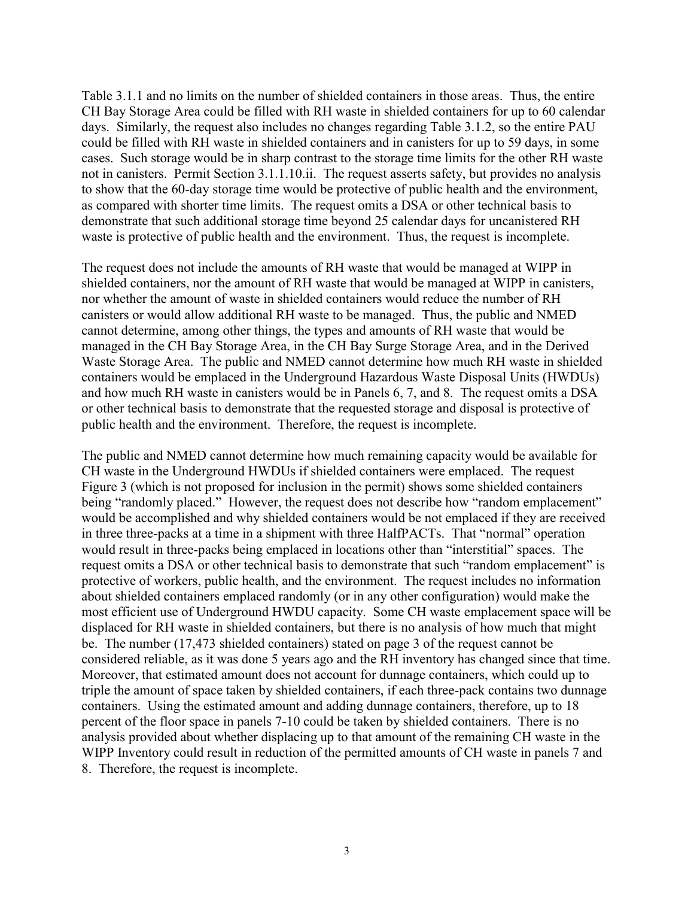Table 3.1.1 and no limits on the number of shielded containers in those areas. Thus, the entire CH Bay Storage Area could be filled with RH waste in shielded containers for up to 60 calendar days. Similarly, the request also includes no changes regarding Table 3.1.2, so the entire PAU could be filled with RH waste in shielded containers and in canisters for up to 59 days, in some cases. Such storage would be in sharp contrast to the storage time limits for the other RH waste not in canisters. Permit Section 3.1.1.10.ii. The request asserts safety, but provides no analysis to show that the 60-day storage time would be protective of public health and the environment, as compared with shorter time limits. The request omits a DSA or other technical basis to demonstrate that such additional storage time beyond 25 calendar days for uncanistered RH waste is protective of public health and the environment. Thus, the request is incomplete.

The request does not include the amounts of RH waste that would be managed at WIPP in shielded containers, nor the amount of RH waste that would be managed at WIPP in canisters, nor whether the amount of waste in shielded containers would reduce the number of RH canisters or would allow additional RH waste to be managed. Thus, the public and NMED cannot determine, among other things, the types and amounts of RH waste that would be managed in the CH Bay Storage Area, in the CH Bay Surge Storage Area, and in the Derived Waste Storage Area. The public and NMED cannot determine how much RH waste in shielded containers would be emplaced in the Underground Hazardous Waste Disposal Units (HWDUs) and how much RH waste in canisters would be in Panels 6, 7, and 8. The request omits a DSA or other technical basis to demonstrate that the requested storage and disposal is protective of public health and the environment. Therefore, the request is incomplete.

The public and NMED cannot determine how much remaining capacity would be available for CH waste in the Underground HWDUs if shielded containers were emplaced. The request Figure 3 (which is not proposed for inclusion in the permit) shows some shielded containers being "randomly placed." However, the request does not describe how "random emplacement" would be accomplished and why shielded containers would be not emplaced if they are received in three three-packs at a time in a shipment with three HalfPACTs. That "normal" operation would result in three-packs being emplaced in locations other than "interstitial" spaces. The request omits a DSA or other technical basis to demonstrate that such "random emplacement" is protective of workers, public health, and the environment. The request includes no information about shielded containers emplaced randomly (or in any other configuration) would make the most efficient use of Underground HWDU capacity. Some CH waste emplacement space will be displaced for RH waste in shielded containers, but there is no analysis of how much that might be. The number (17,473 shielded containers) stated on page 3 of the request cannot be considered reliable, as it was done 5 years ago and the RH inventory has changed since that time. Moreover, that estimated amount does not account for dunnage containers, which could up to triple the amount of space taken by shielded containers, if each three-pack contains two dunnage containers. Using the estimated amount and adding dunnage containers, therefore, up to 18 percent of the floor space in panels 7-10 could be taken by shielded containers. There is no analysis provided about whether displacing up to that amount of the remaining CH waste in the WIPP Inventory could result in reduction of the permitted amounts of CH waste in panels 7 and 8. Therefore, the request is incomplete.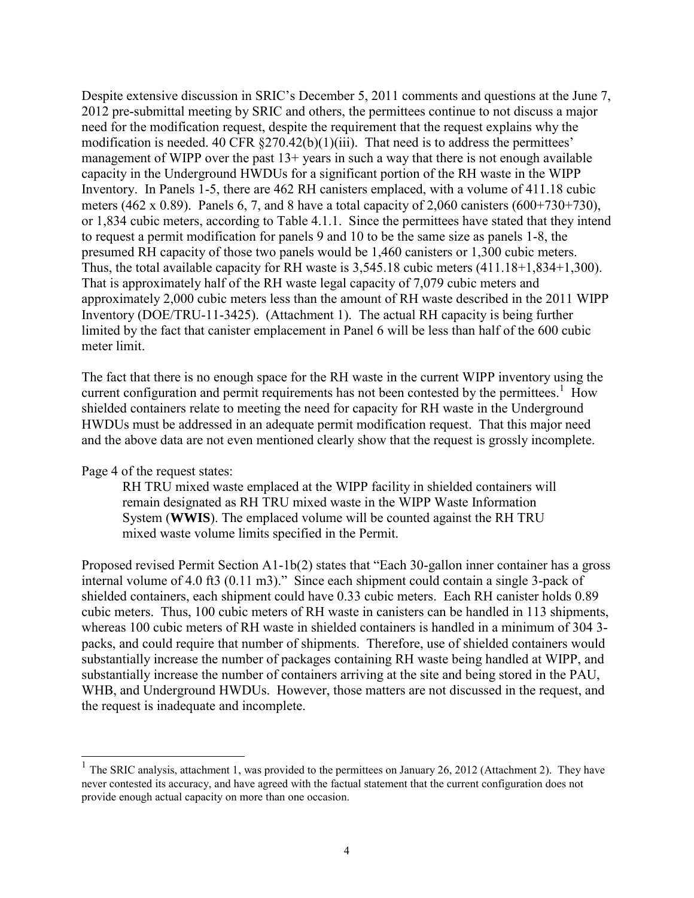Despite extensive discussion in SRIC's December 5, 2011 comments and questions at the June 7, 2012 pre-submittal meeting by SRIC and others, the permittees continue to not discuss a major need for the modification request, despite the requirement that the request explains why the modification is needed. 40 CFR  $\S270.42(b)(1)(iii)$ . That need is to address the permittees' management of WIPP over the past 13+ years in such a way that there is not enough available capacity in the Underground HWDUs for a significant portion of the RH waste in the WIPP Inventory. In Panels 1-5, there are 462 RH canisters emplaced, with a volume of 411.18 cubic meters (462 x 0.89). Panels 6, 7, and 8 have a total capacity of 2,060 canisters (600+730+730), or 1,834 cubic meters, according to Table 4.1.1. Since the permittees have stated that they intend to request a permit modification for panels 9 and 10 to be the same size as panels 1-8, the presumed RH capacity of those two panels would be 1,460 canisters or 1,300 cubic meters. Thus, the total available capacity for RH waste is 3,545.18 cubic meters (411.18+1,834+1,300). That is approximately half of the RH waste legal capacity of 7,079 cubic meters and approximately 2,000 cubic meters less than the amount of RH waste described in the 2011 WIPP Inventory (DOE/TRU-11-3425). (Attachment 1). The actual RH capacity is being further limited by the fact that canister emplacement in Panel 6 will be less than half of the 600 cubic meter limit.

The fact that there is no enough space for the RH waste in the current WIPP inventory using the current configuration and permit requirements has not been contested by the permittees.<sup>1</sup> How shielded containers relate to meeting the need for capacity for RH waste in the Underground HWDUs must be addressed in an adequate permit modification request. That this major need and the above data are not even mentioned clearly show that the request is grossly incomplete.

Page 4 of the request states:

 $\overline{a}$ 

RH TRU mixed waste emplaced at the WIPP facility in shielded containers will remain designated as RH TRU mixed waste in the WIPP Waste Information System (**WWIS**). The emplaced volume will be counted against the RH TRU mixed waste volume limits specified in the Permit.

Proposed revised Permit Section A1-1b(2) states that "Each 30-gallon inner container has a gross internal volume of 4.0 ft3 (0.11 m3)." Since each shipment could contain a single 3-pack of shielded containers, each shipment could have 0.33 cubic meters. Each RH canister holds 0.89 cubic meters. Thus, 100 cubic meters of RH waste in canisters can be handled in 113 shipments, whereas 100 cubic meters of RH waste in shielded containers is handled in a minimum of 304 3 packs, and could require that number of shipments. Therefore, use of shielded containers would substantially increase the number of packages containing RH waste being handled at WIPP, and substantially increase the number of containers arriving at the site and being stored in the PAU, WHB, and Underground HWDUs. However, those matters are not discussed in the request, and the request is inadequate and incomplete.

<sup>&</sup>lt;sup>1</sup> The SRIC analysis, attachment 1, was provided to the permittees on January 26, 2012 (Attachment 2). They have never contested its accuracy, and have agreed with the factual statement that the current configuration does not provide enough actual capacity on more than one occasion.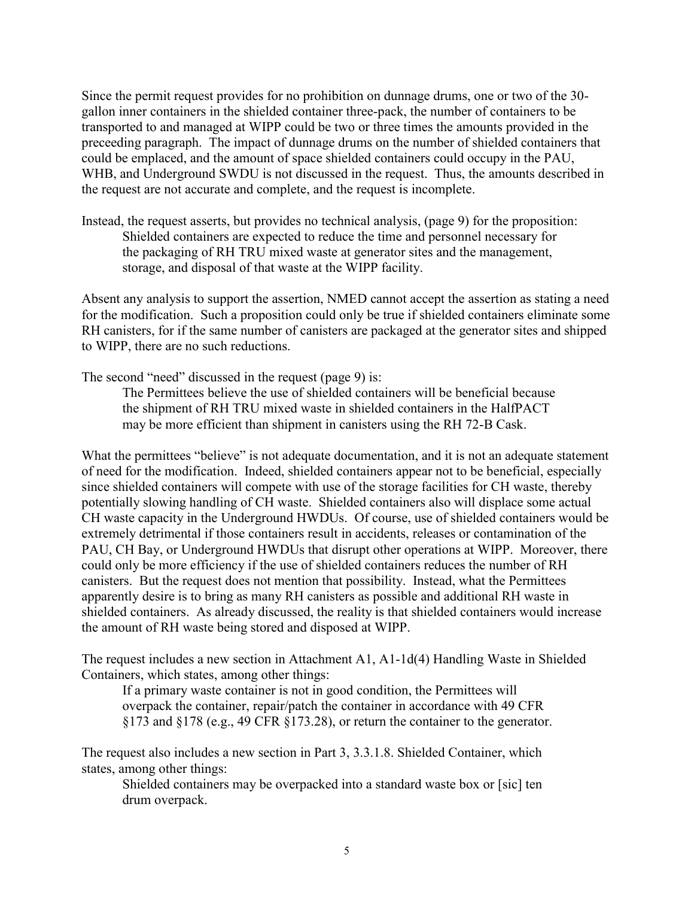Since the permit request provides for no prohibition on dunnage drums, one or two of the 30 gallon inner containers in the shielded container three-pack, the number of containers to be transported to and managed at WIPP could be two or three times the amounts provided in the preceeding paragraph. The impact of dunnage drums on the number of shielded containers that could be emplaced, and the amount of space shielded containers could occupy in the PAU, WHB, and Underground SWDU is not discussed in the request. Thus, the amounts described in the request are not accurate and complete, and the request is incomplete.

Instead, the request asserts, but provides no technical analysis, (page 9) for the proposition: Shielded containers are expected to reduce the time and personnel necessary for the packaging of RH TRU mixed waste at generator sites and the management, storage, and disposal of that waste at the WIPP facility.

Absent any analysis to support the assertion, NMED cannot accept the assertion as stating a need for the modification. Such a proposition could only be true if shielded containers eliminate some RH canisters, for if the same number of canisters are packaged at the generator sites and shipped to WIPP, there are no such reductions.

The second "need" discussed in the request (page 9) is:

The Permittees believe the use of shielded containers will be beneficial because the shipment of RH TRU mixed waste in shielded containers in the HalfPACT may be more efficient than shipment in canisters using the RH 72-B Cask.

What the permittees "believe" is not adequate documentation, and it is not an adequate statement of need for the modification. Indeed, shielded containers appear not to be beneficial, especially since shielded containers will compete with use of the storage facilities for CH waste, thereby potentially slowing handling of CH waste. Shielded containers also will displace some actual CH waste capacity in the Underground HWDUs. Of course, use of shielded containers would be extremely detrimental if those containers result in accidents, releases or contamination of the PAU, CH Bay, or Underground HWDUs that disrupt other operations at WIPP. Moreover, there could only be more efficiency if the use of shielded containers reduces the number of RH canisters. But the request does not mention that possibility. Instead, what the Permittees apparently desire is to bring as many RH canisters as possible and additional RH waste in shielded containers. As already discussed, the reality is that shielded containers would increase the amount of RH waste being stored and disposed at WIPP.

The request includes a new section in Attachment A1, A1-1d(4) Handling Waste in Shielded Containers, which states, among other things:

If a primary waste container is not in good condition, the Permittees will overpack the container, repair/patch the container in accordance with 49 CFR §173 and §178 (e.g., 49 CFR §173.28), or return the container to the generator.

The request also includes a new section in Part 3, 3.3.1.8. Shielded Container, which states, among other things:

Shielded containers may be overpacked into a standard waste box or [sic] ten drum overpack.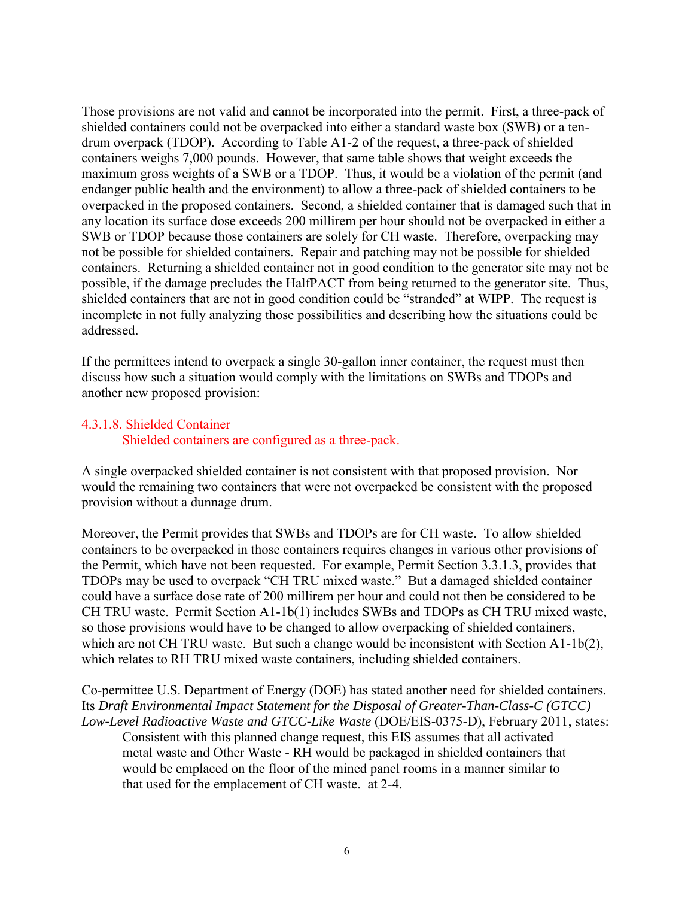Those provisions are not valid and cannot be incorporated into the permit. First, a three-pack of shielded containers could not be overpacked into either a standard waste box (SWB) or a tendrum overpack (TDOP). According to Table A1-2 of the request, a three-pack of shielded containers weighs 7,000 pounds. However, that same table shows that weight exceeds the maximum gross weights of a SWB or a TDOP. Thus, it would be a violation of the permit (and endanger public health and the environment) to allow a three-pack of shielded containers to be overpacked in the proposed containers. Second, a shielded container that is damaged such that in any location its surface dose exceeds 200 millirem per hour should not be overpacked in either a SWB or TDOP because those containers are solely for CH waste. Therefore, overpacking may not be possible for shielded containers. Repair and patching may not be possible for shielded containers. Returning a shielded container not in good condition to the generator site may not be possible, if the damage precludes the HalfPACT from being returned to the generator site. Thus, shielded containers that are not in good condition could be "stranded" at WIPP. The request is incomplete in not fully analyzing those possibilities and describing how the situations could be addressed.

If the permittees intend to overpack a single 30-gallon inner container, the request must then discuss how such a situation would comply with the limitations on SWBs and TDOPs and another new proposed provision:

## 4.3.1.8. Shielded Container Shielded containers are configured as a three-pack.

A single overpacked shielded container is not consistent with that proposed provision. Nor would the remaining two containers that were not overpacked be consistent with the proposed provision without a dunnage drum.

Moreover, the Permit provides that SWBs and TDOPs are for CH waste. To allow shielded containers to be overpacked in those containers requires changes in various other provisions of the Permit, which have not been requested. For example, Permit Section 3.3.1.3, provides that TDOPs may be used to overpack "CH TRU mixed waste." But a damaged shielded container could have a surface dose rate of 200 millirem per hour and could not then be considered to be CH TRU waste. Permit Section A1-1b(1) includes SWBs and TDOPs as CH TRU mixed waste, so those provisions would have to be changed to allow overpacking of shielded containers, which are not CH TRU waste. But such a change would be inconsistent with Section A1-1b(2), which relates to RH TRU mixed waste containers, including shielded containers.

### Co-permittee U.S. Department of Energy (DOE) has stated another need for shielded containers. Its *Draft Environmental Impact Statement for the Disposal of Greater-Than-Class-C (GTCC) Low-Level Radioactive Waste and GTCC-Like Waste* (DOE/EIS-0375-D), February 2011, states:

Consistent with this planned change request, this EIS assumes that all activated metal waste and Other Waste - RH would be packaged in shielded containers that would be emplaced on the floor of the mined panel rooms in a manner similar to that used for the emplacement of CH waste. at 2-4.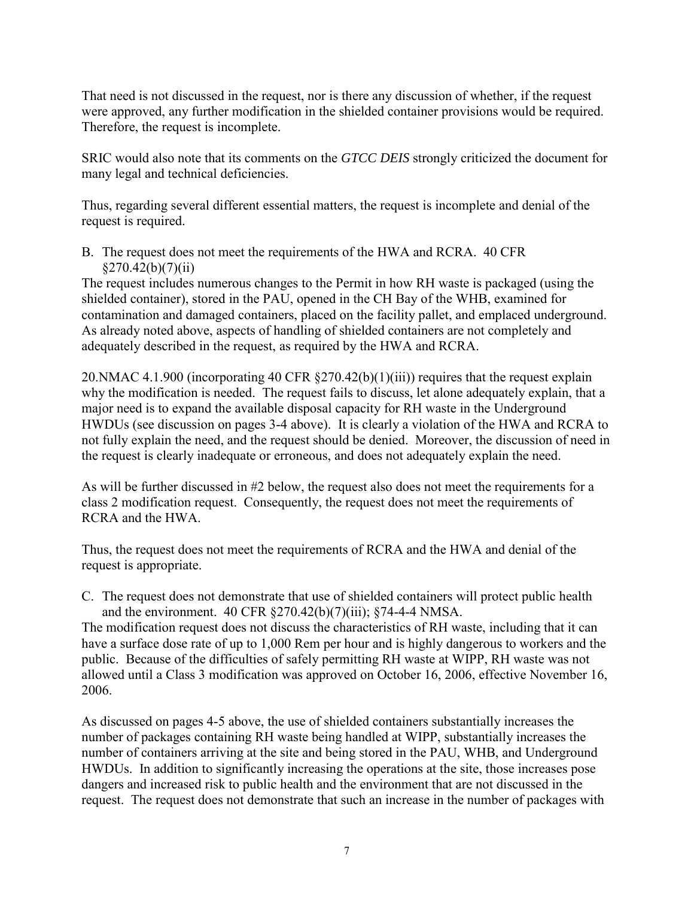That need is not discussed in the request, nor is there any discussion of whether, if the request were approved, any further modification in the shielded container provisions would be required. Therefore, the request is incomplete.

SRIC would also note that its comments on the *GTCC DEIS* strongly criticized the document for many legal and technical deficiencies.

Thus, regarding several different essential matters, the request is incomplete and denial of the request is required.

B. The request does not meet the requirements of the HWA and RCRA. 40 CFR  $§270.42(b)(7)(ii)$ 

The request includes numerous changes to the Permit in how RH waste is packaged (using the shielded container), stored in the PAU, opened in the CH Bay of the WHB, examined for contamination and damaged containers, placed on the facility pallet, and emplaced underground. As already noted above, aspects of handling of shielded containers are not completely and adequately described in the request, as required by the HWA and RCRA.

20.NMAC 4.1.900 (incorporating 40 CFR §270.42(b)(1)(iii)) requires that the request explain why the modification is needed. The request fails to discuss, let alone adequately explain, that a major need is to expand the available disposal capacity for RH waste in the Underground HWDUs (see discussion on pages 3-4 above). It is clearly a violation of the HWA and RCRA to not fully explain the need, and the request should be denied. Moreover, the discussion of need in the request is clearly inadequate or erroneous, and does not adequately explain the need.

As will be further discussed in #2 below, the request also does not meet the requirements for a class 2 modification request. Consequently, the request does not meet the requirements of RCRA and the HWA.

Thus, the request does not meet the requirements of RCRA and the HWA and denial of the request is appropriate.

C. The request does not demonstrate that use of shielded containers will protect public health and the environment. 40 CFR §270.42(b)(7)(iii); §74-4-4 NMSA.

The modification request does not discuss the characteristics of RH waste, including that it can have a surface dose rate of up to 1,000 Rem per hour and is highly dangerous to workers and the public. Because of the difficulties of safely permitting RH waste at WIPP, RH waste was not allowed until a Class 3 modification was approved on October 16, 2006, effective November 16, 2006.

As discussed on pages 4-5 above, the use of shielded containers substantially increases the number of packages containing RH waste being handled at WIPP, substantially increases the number of containers arriving at the site and being stored in the PAU, WHB, and Underground HWDUs. In addition to significantly increasing the operations at the site, those increases pose dangers and increased risk to public health and the environment that are not discussed in the request. The request does not demonstrate that such an increase in the number of packages with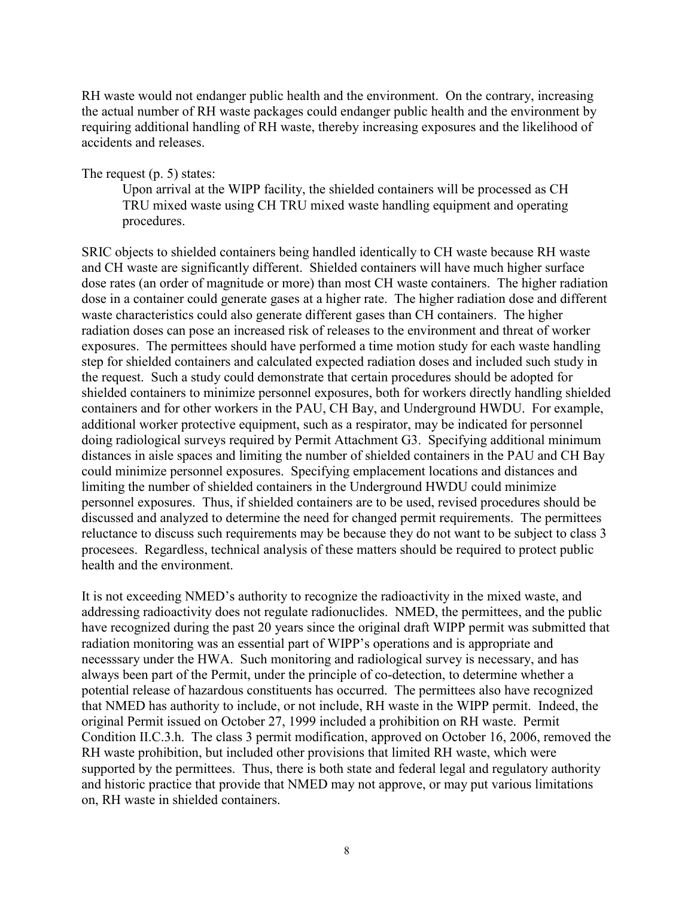RH waste would not endanger public health and the environment. On the contrary, increasing the actual number of RH waste packages could endanger public health and the environment by requiring additional handling of RH waste, thereby increasing exposures and the likelihood of accidents and releases.

The request (p. 5) states:

Upon arrival at the WIPP facility, the shielded containers will be processed as CH TRU mixed waste using CH TRU mixed waste handling equipment and operating procedures.

SRIC objects to shielded containers being handled identically to CH waste because RH waste and CH waste are significantly different. Shielded containers will have much higher surface dose rates (an order of magnitude or more) than most CH waste containers. The higher radiation dose in a container could generate gases at a higher rate. The higher radiation dose and different waste characteristics could also generate different gases than CH containers. The higher radiation doses can pose an increased risk of releases to the environment and threat of worker exposures. The permittees should have performed a time motion study for each waste handling step for shielded containers and calculated expected radiation doses and included such study in the request. Such a study could demonstrate that certain procedures should be adopted for shielded containers to minimize personnel exposures, both for workers directly handling shielded containers and for other workers in the PAU, CH Bay, and Underground HWDU. For example, additional worker protective equipment, such as a respirator, may be indicated for personnel doing radiological surveys required by Permit Attachment G3. Specifying additional minimum distances in aisle spaces and limiting the number of shielded containers in the PAU and CH Bay could minimize personnel exposures. Specifying emplacement locations and distances and limiting the number of shielded containers in the Underground HWDU could minimize personnel exposures. Thus, if shielded containers are to be used, revised procedures should be discussed and analyzed to determine the need for changed permit requirements. The permittees reluctance to discuss such requirements may be because they do not want to be subject to class 3 procesees. Regardless, technical analysis of these matters should be required to protect public health and the environment.

It is not exceeding NMED's authority to recognize the radioactivity in the mixed waste, and addressing radioactivity does not regulate radionuclides. NMED, the permittees, and the public have recognized during the past 20 years since the original draft WIPP permit was submitted that radiation monitoring was an essential part of WIPP's operations and is appropriate and necesssary under the HWA. Such monitoring and radiological survey is necessary, and has always been part of the Permit, under the principle of co-detection, to determine whether a potential release of hazardous constituents has occurred. The permittees also have recognized that NMED has authority to include, or not include, RH waste in the WIPP permit. Indeed, the original Permit issued on October 27, 1999 included a prohibition on RH waste. Permit Condition II.C.3.h. The class 3 permit modification, approved on October 16, 2006, removed the RH waste prohibition, but included other provisions that limited RH waste, which were supported by the permittees. Thus, there is both state and federal legal and regulatory authority and historic practice that provide that NMED may not approve, or may put various limitations on, RH waste in shielded containers.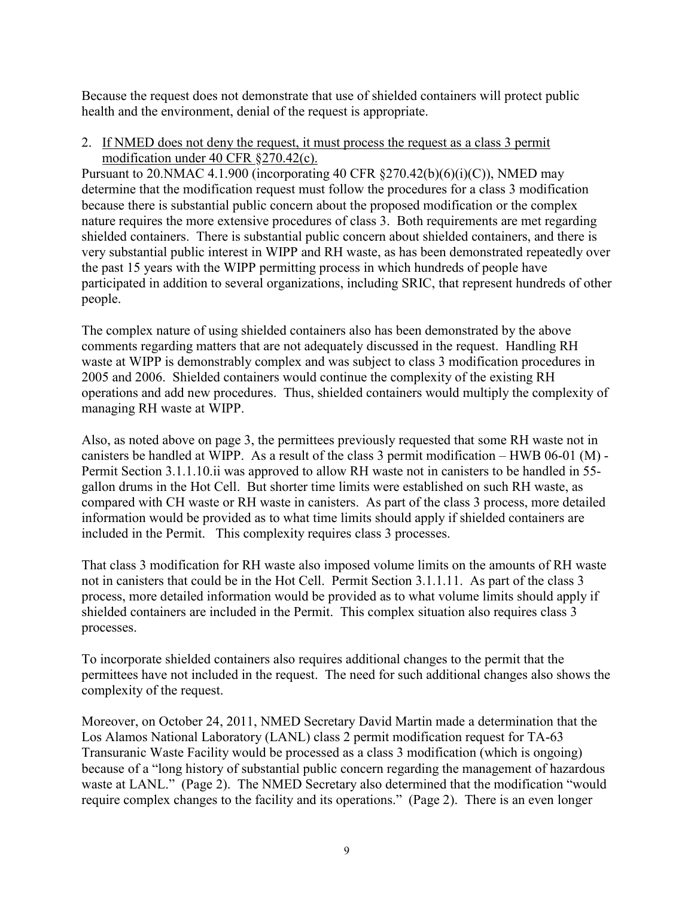Because the request does not demonstrate that use of shielded containers will protect public health and the environment, denial of the request is appropriate.

2. If NMED does not deny the request, it must process the request as a class 3 permit modification under 40 CFR §270.42(c).

Pursuant to 20. NMAC 4.1.900 (incorporating 40 CFR  $\S 270.42(b)(6)(i)(C)$ ), NMED may determine that the modification request must follow the procedures for a class 3 modification because there is substantial public concern about the proposed modification or the complex nature requires the more extensive procedures of class 3. Both requirements are met regarding shielded containers. There is substantial public concern about shielded containers, and there is very substantial public interest in WIPP and RH waste, as has been demonstrated repeatedly over the past 15 years with the WIPP permitting process in which hundreds of people have participated in addition to several organizations, including SRIC, that represent hundreds of other people.

The complex nature of using shielded containers also has been demonstrated by the above comments regarding matters that are not adequately discussed in the request. Handling RH waste at WIPP is demonstrably complex and was subject to class 3 modification procedures in 2005 and 2006. Shielded containers would continue the complexity of the existing RH operations and add new procedures. Thus, shielded containers would multiply the complexity of managing RH waste at WIPP.

Also, as noted above on page 3, the permittees previously requested that some RH waste not in canisters be handled at WIPP. As a result of the class 3 permit modification – HWB 06-01 (M) - Permit Section 3.1.1.10.ii was approved to allow RH waste not in canisters to be handled in 55 gallon drums in the Hot Cell. But shorter time limits were established on such RH waste, as compared with CH waste or RH waste in canisters. As part of the class 3 process, more detailed information would be provided as to what time limits should apply if shielded containers are included in the Permit. This complexity requires class 3 processes.

That class 3 modification for RH waste also imposed volume limits on the amounts of RH waste not in canisters that could be in the Hot Cell. Permit Section 3.1.1.11. As part of the class 3 process, more detailed information would be provided as to what volume limits should apply if shielded containers are included in the Permit. This complex situation also requires class 3 processes.

To incorporate shielded containers also requires additional changes to the permit that the permittees have not included in the request. The need for such additional changes also shows the complexity of the request.

Moreover, on October 24, 2011, NMED Secretary David Martin made a determination that the Los Alamos National Laboratory (LANL) class 2 permit modification request for TA-63 Transuranic Waste Facility would be processed as a class 3 modification (which is ongoing) because of a "long history of substantial public concern regarding the management of hazardous waste at LANL." (Page 2). The NMED Secretary also determined that the modification "would require complex changes to the facility and its operations." (Page 2). There is an even longer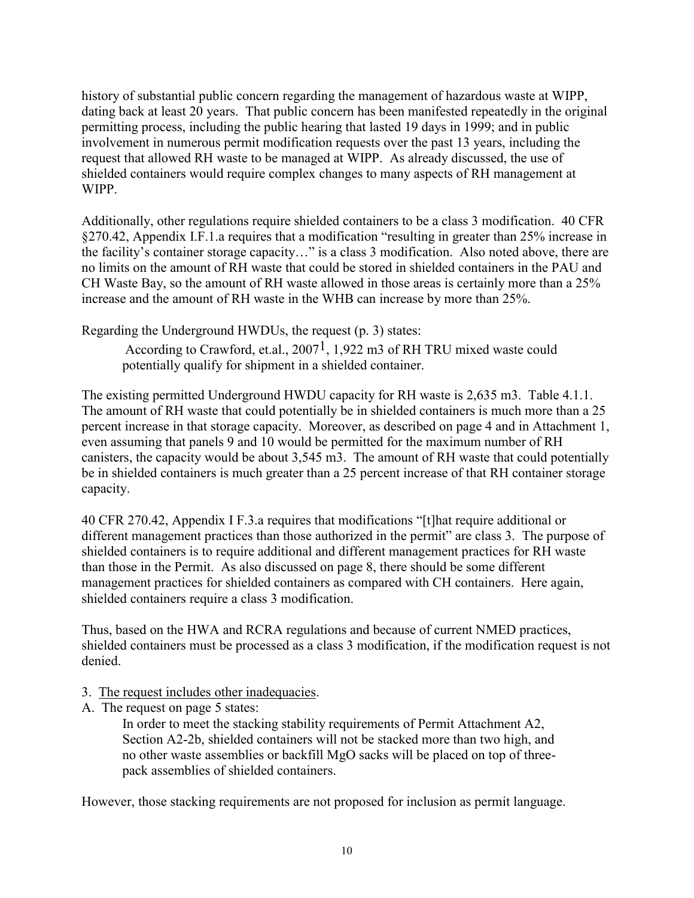history of substantial public concern regarding the management of hazardous waste at WIPP, dating back at least 20 years. That public concern has been manifested repeatedly in the original permitting process, including the public hearing that lasted 19 days in 1999; and in public involvement in numerous permit modification requests over the past 13 years, including the request that allowed RH waste to be managed at WIPP. As already discussed, the use of shielded containers would require complex changes to many aspects of RH management at WIPP.

Additionally, other regulations require shielded containers to be a class 3 modification. 40 CFR §270.42, Appendix I.F.1.a requires that a modification "resulting in greater than 25% increase in the facility's container storage capacity…" is a class 3 modification. Also noted above, there are no limits on the amount of RH waste that could be stored in shielded containers in the PAU and CH Waste Bay, so the amount of RH waste allowed in those areas is certainly more than a 25% increase and the amount of RH waste in the WHB can increase by more than 25%.

Regarding the Underground HWDUs, the request (p. 3) states:

According to Crawford, et.al., 20071, 1,922 m3 of RH TRU mixed waste could potentially qualify for shipment in a shielded container.

The existing permitted Underground HWDU capacity for RH waste is 2,635 m3. Table 4.1.1. The amount of RH waste that could potentially be in shielded containers is much more than a 25 percent increase in that storage capacity. Moreover, as described on page 4 and in Attachment 1, even assuming that panels 9 and 10 would be permitted for the maximum number of RH canisters, the capacity would be about 3,545 m3. The amount of RH waste that could potentially be in shielded containers is much greater than a 25 percent increase of that RH container storage capacity.

40 CFR 270.42, Appendix I F.3.a requires that modifications "[t]hat require additional or different management practices than those authorized in the permit" are class 3. The purpose of shielded containers is to require additional and different management practices for RH waste than those in the Permit. As also discussed on page 8, there should be some different management practices for shielded containers as compared with CH containers. Here again, shielded containers require a class 3 modification.

Thus, based on the HWA and RCRA regulations and because of current NMED practices, shielded containers must be processed as a class 3 modification, if the modification request is not denied.

- 3. The request includes other inadequacies.
- A. The request on page 5 states:

In order to meet the stacking stability requirements of Permit Attachment A2, Section A2-2b, shielded containers will not be stacked more than two high, and no other waste assemblies or backfill MgO sacks will be placed on top of threepack assemblies of shielded containers.

However, those stacking requirements are not proposed for inclusion as permit language.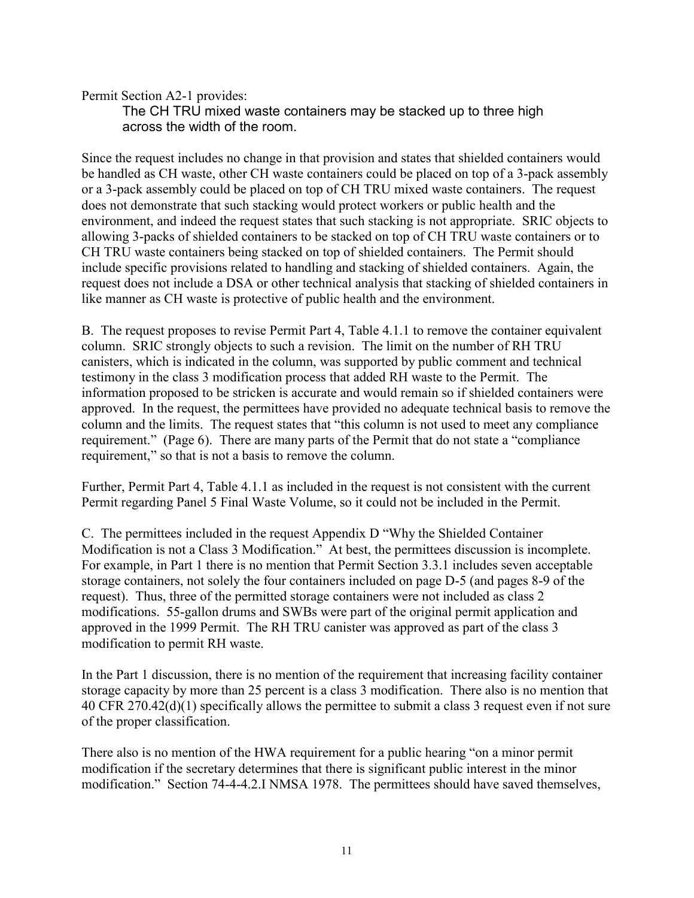Permit Section A2-1 provides:

The CH TRU mixed waste containers may be stacked up to three high across the width of the room.

Since the request includes no change in that provision and states that shielded containers would be handled as CH waste, other CH waste containers could be placed on top of a 3-pack assembly or a 3-pack assembly could be placed on top of CH TRU mixed waste containers. The request does not demonstrate that such stacking would protect workers or public health and the environment, and indeed the request states that such stacking is not appropriate. SRIC objects to allowing 3-packs of shielded containers to be stacked on top of CH TRU waste containers or to CH TRU waste containers being stacked on top of shielded containers. The Permit should include specific provisions related to handling and stacking of shielded containers. Again, the request does not include a DSA or other technical analysis that stacking of shielded containers in like manner as CH waste is protective of public health and the environment.

B. The request proposes to revise Permit Part 4, Table 4.1.1 to remove the container equivalent column. SRIC strongly objects to such a revision. The limit on the number of RH TRU canisters, which is indicated in the column, was supported by public comment and technical testimony in the class 3 modification process that added RH waste to the Permit. The information proposed to be stricken is accurate and would remain so if shielded containers were approved. In the request, the permittees have provided no adequate technical basis to remove the column and the limits. The request states that "this column is not used to meet any compliance requirement." (Page 6). There are many parts of the Permit that do not state a "compliance requirement," so that is not a basis to remove the column.

Further, Permit Part 4, Table 4.1.1 as included in the request is not consistent with the current Permit regarding Panel 5 Final Waste Volume, so it could not be included in the Permit.

C. The permittees included in the request Appendix D "Why the Shielded Container Modification is not a Class 3 Modification." At best, the permittees discussion is incomplete. For example, in Part 1 there is no mention that Permit Section 3.3.1 includes seven acceptable storage containers, not solely the four containers included on page D-5 (and pages 8-9 of the request). Thus, three of the permitted storage containers were not included as class 2 modifications. 55-gallon drums and SWBs were part of the original permit application and approved in the 1999 Permit. The RH TRU canister was approved as part of the class 3 modification to permit RH waste.

In the Part 1 discussion, there is no mention of the requirement that increasing facility container storage capacity by more than 25 percent is a class 3 modification. There also is no mention that 40 CFR 270.42(d)(1) specifically allows the permittee to submit a class 3 request even if not sure of the proper classification.

There also is no mention of the HWA requirement for a public hearing "on a minor permit" modification if the secretary determines that there is significant public interest in the minor modification." Section 74-4-4.2.I NMSA 1978. The permittees should have saved themselves,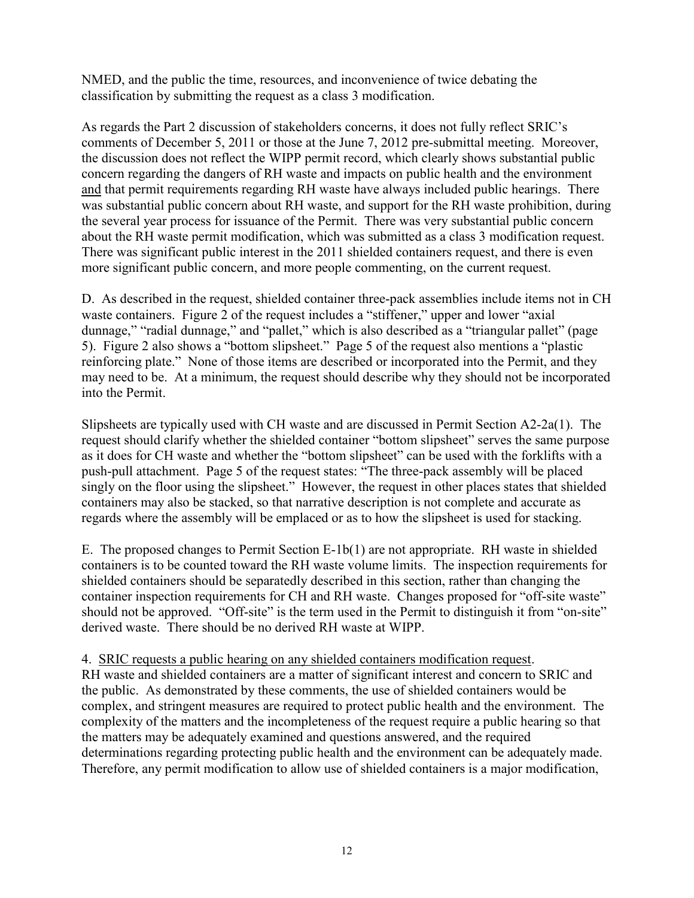NMED, and the public the time, resources, and inconvenience of twice debating the classification by submitting the request as a class 3 modification.

As regards the Part 2 discussion of stakeholders concerns, it does not fully reflect SRIC's comments of December 5, 2011 or those at the June 7, 2012 pre-submittal meeting. Moreover, the discussion does not reflect the WIPP permit record, which clearly shows substantial public concern regarding the dangers of RH waste and impacts on public health and the environment and that permit requirements regarding RH waste have always included public hearings. There was substantial public concern about RH waste, and support for the RH waste prohibition, during the several year process for issuance of the Permit. There was very substantial public concern about the RH waste permit modification, which was submitted as a class 3 modification request. There was significant public interest in the 2011 shielded containers request, and there is even more significant public concern, and more people commenting, on the current request.

D. As described in the request, shielded container three-pack assemblies include items not in CH waste containers. Figure 2 of the request includes a "stiffener," upper and lower "axial" dunnage," "radial dunnage," and "pallet," which is also described as a "triangular pallet" (page 5). Figure 2 also shows a "bottom slipsheet." Page 5 of the request also mentions a "plastic reinforcing plate." None of those items are described or incorporated into the Permit, and they may need to be. At a minimum, the request should describe why they should not be incorporated into the Permit.

Slipsheets are typically used with CH waste and are discussed in Permit Section A2-2a(1). The request should clarify whether the shielded container "bottom slipsheet" serves the same purpose as it does for CH waste and whether the "bottom slipsheet" can be used with the forklifts with a push-pull attachment. Page 5 of the request states: "The three-pack assembly will be placed singly on the floor using the slipsheet." However, the request in other places states that shielded containers may also be stacked, so that narrative description is not complete and accurate as regards where the assembly will be emplaced or as to how the slipsheet is used for stacking.

E. The proposed changes to Permit Section E-1b(1) are not appropriate. RH waste in shielded containers is to be counted toward the RH waste volume limits. The inspection requirements for shielded containers should be separatedly described in this section, rather than changing the container inspection requirements for CH and RH waste. Changes proposed for "off-site waste" should not be approved. "Off-site" is the term used in the Permit to distinguish it from "on-site" derived waste. There should be no derived RH waste at WIPP.

4. SRIC requests a public hearing on any shielded containers modification request.

RH waste and shielded containers are a matter of significant interest and concern to SRIC and the public. As demonstrated by these comments, the use of shielded containers would be complex, and stringent measures are required to protect public health and the environment. The complexity of the matters and the incompleteness of the request require a public hearing so that the matters may be adequately examined and questions answered, and the required determinations regarding protecting public health and the environment can be adequately made. Therefore, any permit modification to allow use of shielded containers is a major modification,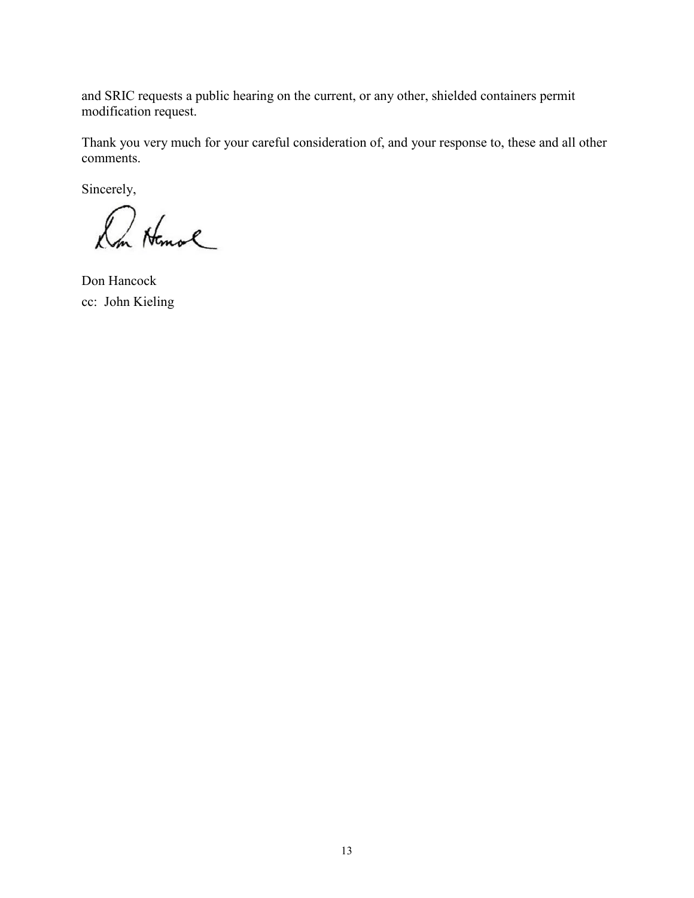and SRIC requests a public hearing on the current, or any other, shielded containers permit modification request.

Thank you very much for your careful consideration of, and your response to, these and all other comments.

Sincerely,

Du Homal

Don Hancock cc: John Kieling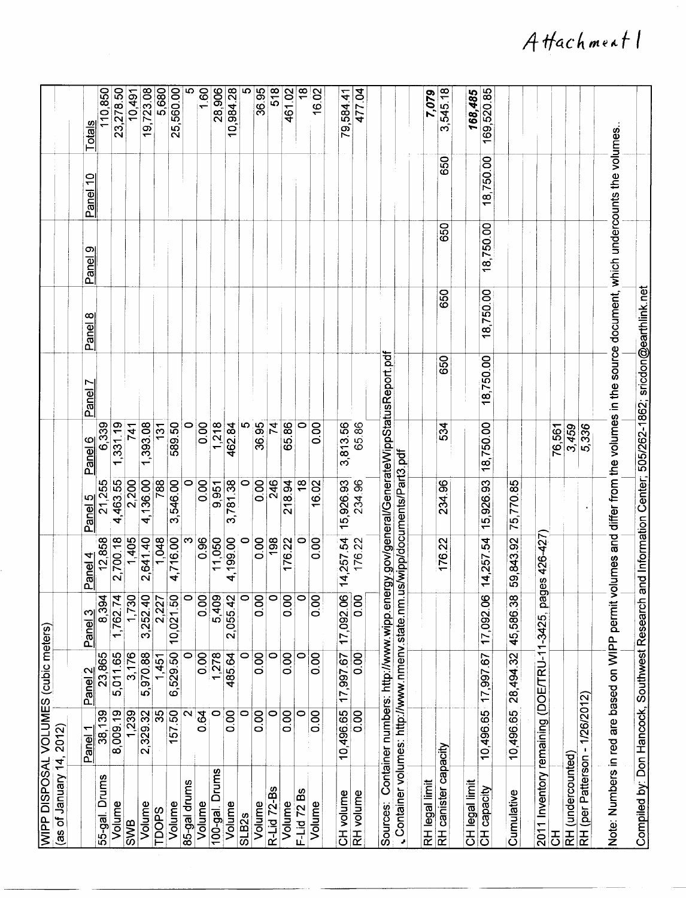| WIPP DISPOSAL VOLUMES (cubic meters)<br>as of January 14,                                                                                | 2012)          |                    |                |                             |                    |           |                         |                                                             |           |                 |                 |
|------------------------------------------------------------------------------------------------------------------------------------------|----------------|--------------------|----------------|-----------------------------|--------------------|-----------|-------------------------|-------------------------------------------------------------|-----------|-----------------|-----------------|
|                                                                                                                                          |                |                    |                |                             |                    |           |                         |                                                             |           |                 |                 |
|                                                                                                                                          | <b>Panel</b>   | $\sim$<br>Panel    | S<br>Panel     | Panel 4                     | Panel <sub>5</sub> | Panel 6   | Ņ<br>Panel <sup>-</sup> | Panel 8                                                     | Panel 9   | <u>Panel</u> 10 | <u>Totals</u>   |
| 55-gal. Drums                                                                                                                            | 38,139         | 23,865             | 8,394          | 12,858                      | 21,255             | 6,339     |                         |                                                             |           |                 | 110,850         |
| Volume                                                                                                                                   | 8,009.19       | 5,011.65           | 1,762.74       | 2,700.18                    | 4,463.55           | ,331.19   |                         |                                                             |           |                 | 23,278.50       |
| <b>SWB</b>                                                                                                                               | 1,239          | 3,176              | 1,730          | 1,405                       | 2,200              | 741       |                         |                                                             |           |                 | 10,491          |
| Volume                                                                                                                                   | 2,329.32       | 5,970.88           | 3,252.40       | 2,641.40                    | 4,136.00           | 1,393.08  |                         |                                                             |           |                 | 19,723.08       |
| <b>SdOQ</b>                                                                                                                              | 35             | 1,451              | 2,227          | 1,048                       | 788                | 131       |                         |                                                             |           |                 | 5,680           |
| Volume                                                                                                                                   | 157.50         | 6,529.50           | 10,021.50      | 4,716.00                    | 3,546.00           | 589.50    |                         |                                                             |           |                 | 25,560.00       |
| 35-gal drums                                                                                                                             |                | $\circ$            |                | ω                           | 0                  | $\circ$   |                         |                                                             |           |                 | 5               |
| Volume                                                                                                                                   | 0.64           | 0.00               | $\frac{8}{10}$ | 0.96                        | 0.00               | 0.00      |                         |                                                             |           |                 | 1.60            |
| 100-gal. Drums                                                                                                                           | $\circ$        | 1,278              | 5,409          | 11,050                      | 9,951              | 1,218     |                         |                                                             |           |                 | 28,906          |
| Volume                                                                                                                                   | 0.00           | 485.64             | 2,055.42       | 4,199.00                    | 3,781.38           | 462.84    |                         |                                                             |           |                 | 10,984.28       |
| <b>SLB2s</b>                                                                                                                             | 0              | 0                  |                | 0                           | $\circ$            | ம         |                         |                                                             |           |                 | $\overline{5}$  |
| Volume                                                                                                                                   | 0.00           | 0.00               | $\frac{8}{2}$  | 0.00                        | 0.00               | 36.95     |                         |                                                             |           |                 | 36.95           |
| <b>R-Lid 72-Bs</b>                                                                                                                       | 0              | $\overline{\circ}$ |                | 198                         | 246                | 74        |                         |                                                             |           |                 | 518             |
| Volume                                                                                                                                   | $\frac{8}{10}$ | 0.00               | $\frac{8}{10}$ | 176.22                      | 218.94             | 65.86     |                         |                                                             |           |                 | 461.02          |
| Bs<br>$-1$ id 72                                                                                                                         | 0              | $\circ$            |                | 0                           | $\frac{8}{1}$      | 0         |                         |                                                             |           |                 | $\overline{18}$ |
| Volume                                                                                                                                   | $\frac{8}{10}$ | 0.00               | $\frac{8}{10}$ | 0.00                        | 16.02              | 0.00      |                         |                                                             |           |                 | 16.02           |
|                                                                                                                                          | 10,496.65      |                    |                |                             |                    |           |                         |                                                             |           |                 |                 |
|                                                                                                                                          |                | 17,997.67          | 17,092.06      | 14,257.54                   | 15,926.93          | 3,813.56  |                         |                                                             |           |                 | 79,58441        |
| CH volume<br>RH volume                                                                                                                   | $\frac{8}{10}$ | 0.00               | $\frac{8}{2}$  | 176.22                      | 234.96             | 65.86     |                         |                                                             |           |                 | 477.04          |
| Sources: Container numbers: http://www.wipp.energy.gov/general/GenerateWippStatusReport.pdf                                              |                |                    |                |                             |                    |           |                         |                                                             |           |                 |                 |
|                                                                                                                                          |                |                    |                |                             |                    |           |                         |                                                             |           |                 |                 |
| Container volumes: http://www.nmenv.state.nm                                                                                             |                |                    |                | us/wipp/documents/Part3.pdf |                    |           |                         |                                                             |           |                 |                 |
| RH legal limit                                                                                                                           |                |                    |                |                             |                    |           |                         |                                                             |           |                 | 7,079           |
| <b>RH</b> canister capacity                                                                                                              |                |                    |                | 176.22                      | 234.96             | 534       | 650                     | 650                                                         | 650       | 650             | 3,545.18        |
| <b>CH legal limit</b>                                                                                                                    |                |                    |                |                             |                    |           |                         |                                                             |           |                 | 168,485         |
| CH capacity                                                                                                                              | 10,496.65      | 17,997.67          | 17,092.06      | 14,257.54                   | 15,926.93          | 18,750.00 | 18,750.00               | 18,750.00                                                   | 18,750.00 | 18,750.00       | 169,520.85      |
|                                                                                                                                          |                |                    |                |                             |                    |           |                         |                                                             |           |                 |                 |
| Cumulative                                                                                                                               | 10,496.65      | 28,494.32          | 45,586.38      | 59,843.92                   | 75,770.85          |           |                         |                                                             |           |                 |                 |
| 2011 Inventory remaining (DOE/TRU-11-3425                                                                                                |                |                    | g              | ges 426-427                 |                    |           |                         |                                                             |           |                 |                 |
| 공                                                                                                                                        |                |                    |                |                             |                    |           |                         |                                                             |           |                 |                 |
| RH (undercounted)                                                                                                                        |                |                    |                |                             |                    | 76,561    |                         |                                                             |           |                 |                 |
|                                                                                                                                          |                |                    |                |                             |                    | 3,459     |                         |                                                             |           |                 |                 |
| RH (per Patterson - 1/26/2012)                                                                                                           |                |                    |                |                             |                    | 5,336     |                         |                                                             |           |                 |                 |
| Note: Numbers in red are based on WIPP permit volumes and differ from the volumes in the source document, which undercounts the volumes. |                |                    |                |                             |                    |           |                         |                                                             |           |                 |                 |
|                                                                                                                                          |                |                    |                |                             |                    |           |                         |                                                             |           |                 |                 |
| Compiled by: Don Hancock, Southwest Research                                                                                             |                |                    |                |                             |                    |           |                         | and Information Center; 505/262-1862; sricdon@earthlink.net |           |                 |                 |

Attachment 1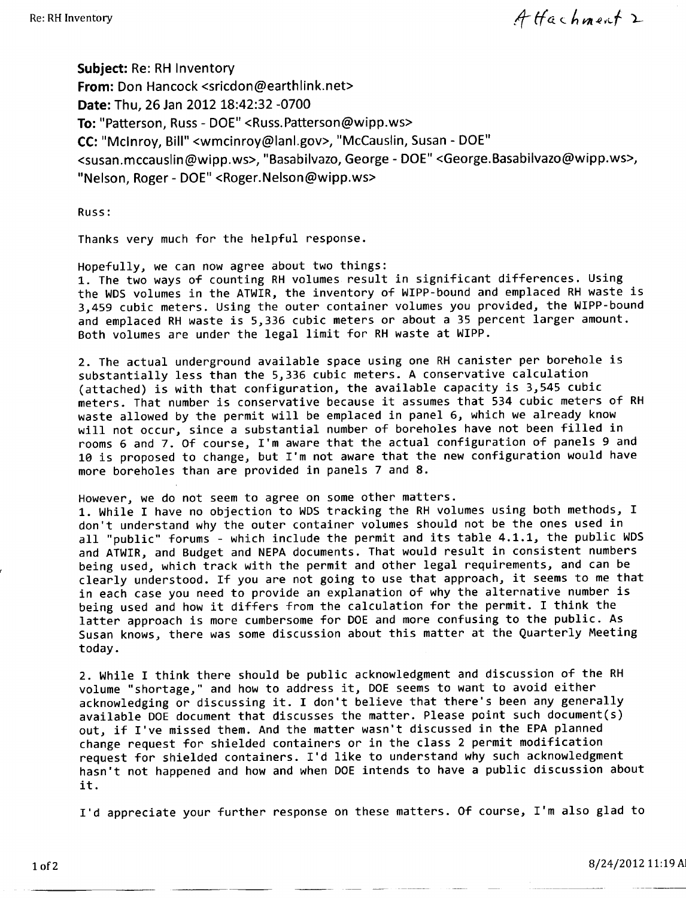Attachment 2

Subiect: Re: RH Inventory From: Don Hancock <sricdon@earthlink.net> Date: Thu. 26 Jan 2012 18:42:32 -0700 To: "Patterson, Russ - DOE" <Russ.Patterson@wipp.ws> CC: "McInroy, Bill" <wmcinroy@lanl.gov>, "McCauslin, Susan - DOE" <susan.mccauslin@wipp.ws>, "Basabilvazo, George - DOE" <George.Basabilvazo@wipp.ws>, "Nelson, Roger - DOE" <Roger.Nelson@wipp.ws>

Russ:

Thanks very much for the helpful response.

Hopefully, we can now agree about two things:

1. The two ways of counting RH volumes result in significant differences. Using the WDS volumes in the ATWIR, the inventory of WIPP-bound and emplaced RH waste is 3,459 cubic meters. Using the outer container volumes you provided, the WIPP-bound and emplaced RH waste is 5,336 cubic meters or about a 35 percent larger amount. Both volumes are under the legal limit for RH waste at WIPP.

2. The actual underground available space using one RH canister per borehole is substantially less than the 5,336 cubic meters. A conservative calculation (attached) is with that configuration, the available capacity is 3,545 cubic meters. That number is conservative because it assumes that 534 cubic meters of RH waste allowed by the permit will be emplaced in panel 6, which we already know will not occur, since a substantial number of boreholes have not been filled in rooms 6 and 7. Of course, I'm aware that the actual configuration of panels 9 and 10 is proposed to change, but I'm not aware that the new configuration would have more boreholes than are provided in panels 7 and 8.

However, we do not seem to agree on some other matters.

1. While I have no objection to WDS tracking the RH volumes using both methods, I don't understand why the outer container volumes should not be the ones used in all "public" forums - which include the permit and its table 4.1.1, the public WDS and ATWIR, and Budget and NEPA documents. That would result in consistent numbers being used, which track with the permit and other legal requirements, and can be clearly understood. If you are not going to use that approach, it seems to me that in each case you need to provide an explanation of why the alternative number is being used and how it differs from the calculation for the permit. I think the latter approach is more cumbersome for DOE and more confusing to the public. As Susan knows, there was some discussion about this matter at the Quarterly Meeting today.

2. While I think there should be public acknowledgment and discussion of the RH volume "shortage," and how to address it, DOE seems to want to avoid either acknowledging or discussing it. I don't believe that there's been any generally available DOE document that discusses the matter. Please point such document(s) out, if I've missed them. And the matter wasn't discussed in the EPA planned change request for shielded containers or in the class 2 permit modification request for shielded containers. I'd like to understand why such acknowledgment hasn't not happened and how and when DOE intends to have a public discussion about it.

I'd appreciate your further response on these matters. Of course, I'm also glad to